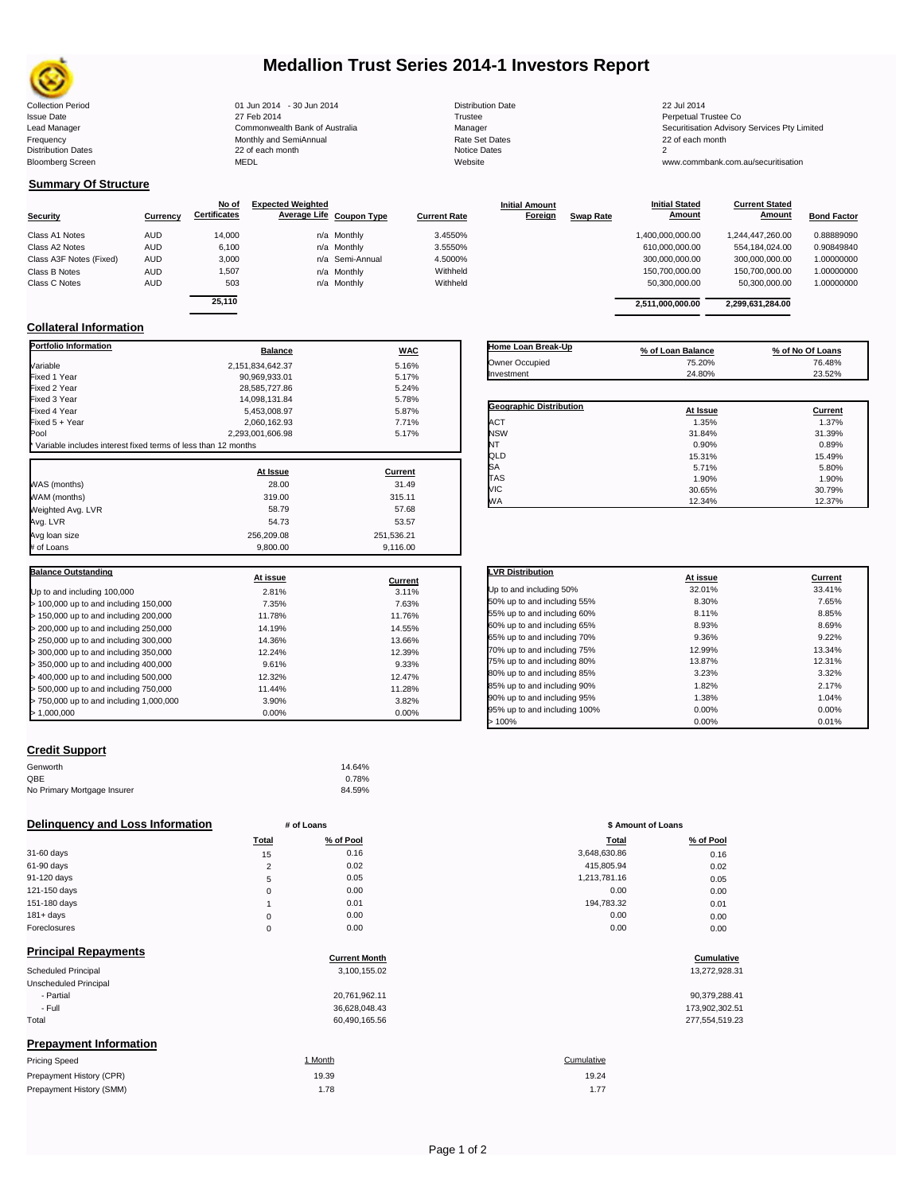

# **Medallion Trust Series 2014-1 Investors Report**

| <b>Collection Period</b>  | 01 Jun 2014 - 30 Jun 2014      | <b>Distribution Date</b> | 22 Jul 2014                             |
|---------------------------|--------------------------------|--------------------------|-----------------------------------------|
| <b>Issue Date</b>         | 27 Feb 2014                    | Trustee                  | Perpetual Trustee Co                    |
| Lead Manager              | Commonwealth Bank of Australia | Manager                  | Securitisation Advisory Services Pty Li |
| Frequency                 | Monthly and SemiAnnual         | Rate Set Dates           | 22 of each month                        |
| <b>Distribution Dates</b> | 22 of each month               | Notice Dates             |                                         |
| <b>Bloomberg Screen</b>   | MEDL                           | Website                  | www.commbank.com.au/securitisation      |
|                           |                                |                          |                                         |

| <b>Distribution Date</b> |
|--------------------------|
| Trustee                  |
| Manager                  |
| Rate Set Dates           |
| <b>Notice Dates</b>      |
| Website                  |

## **Summary Of Structure**

|                         |            | No of               | <b>Expected Weighted</b> |                 |                     | <b>Initial Amount</b> |                  | <b>Initial Stated</b> | <b>Current Stated</b> |                    |
|-------------------------|------------|---------------------|--------------------------|-----------------|---------------------|-----------------------|------------------|-----------------------|-----------------------|--------------------|
| <b>Security</b>         | Currency   | <b>Certificates</b> | Average Life Coupon Type |                 | <b>Current Rate</b> | Foreign               | <b>Swap Rate</b> | <b>Amount</b>         | <b>Amount</b>         | <b>Bond Factor</b> |
| Class A1 Notes          | <b>AUD</b> | 14,000              |                          | n/a Monthly     | 3.4550%             |                       |                  | 1,400,000,000.00      | 1.244.447.260.00      | 0.88889090         |
| Class A2 Notes          | <b>AUD</b> | 6,100               |                          | n/a Monthly     | 3.5550%             |                       |                  | 610,000,000.00        | 554.184.024.00        | 0.90849840         |
| Class A3F Notes (Fixed) | <b>AUD</b> | 3,000               |                          | n/a Semi-Annual | 4.5000%             |                       |                  | 300,000,000.00        | 300.000.000.00        | 1.00000000         |
| Class B Notes           | <b>AUD</b> | 1,507               |                          | n/a Monthly     | Withheld            |                       |                  | 150.700.000.00        | 150.700.000.00        | 1.00000000         |
| Class C Notes           | <b>AUD</b> | 503                 |                          | n/a Monthly     | Withheld            |                       |                  | 50.300.000.00         | 50.300.000.00         | 1.00000000         |
|                         |            | 0.5440              |                          |                 |                     |                       |                  |                       |                       |                    |

|        | <b>Balance</b> |                 | <b>WAC</b> | Home Loan Break-Up | % of Loan Balance |                  | % of No Of Loans |
|--------|----------------|-----------------|------------|--------------------|-------------------|------------------|------------------|
|        |                |                 |            |                    |                   |                  |                  |
| 25.110 |                |                 |            |                    | 2.511.000.000.00  | 2,299,631,284.00 |                  |
| 503    |                | n/a Monthly     | Withheld   |                    | 50.300.000.00     | 50.300.000.00    | 1.00000000       |
| 1,507  |                | n/a Monthly     | Withheld   |                    | 150,700,000.00    | 150.700.000.00   | 1.00000000       |
| 3,000  |                | n/a Semi-Annual | 4.5000%    |                    | 300,000,000.00    | 300,000,000.00   | 1.00000000       |
| 6.100  |                | n/a Monthly     | 3.5550%    |                    | 610,000,000.00    | 554,184,024.00   | 0.90849840       |
| 14,000 |                | n/a Monthly     | 3.4550%    |                    | 1,400,000,000.00  | 1,244,447,260.00 | 0.88889090       |

## **Collateral Information**

| <b>Portfolio Information</b>                                  | <b>Balance</b>   | <b>WAC</b>     |
|---------------------------------------------------------------|------------------|----------------|
| Variable                                                      | 2.151.834.642.37 | 5.16%          |
| Fixed 1 Year                                                  | 90.969.933.01    | 5.17%          |
| Fixed 2 Year                                                  | 28,585,727.86    | 5.24%          |
| Fixed 3 Year                                                  | 14,098,131.84    | 5.78%          |
| Fixed 4 Year                                                  | 5,453,008.97     | 5.87%          |
| Fixed 5 + Year                                                | 2,060,162.93     | 7.71%          |
| Pool                                                          | 2,293,001,606.98 | 5.17%          |
| Variable includes interest fixed terms of less than 12 months |                  |                |
|                                                               | At Issue         | <b>Current</b> |
| WAS (months)                                                  | 28.00            | 31.49          |
| WAM (months)                                                  | 319.00           | 315.11         |
| Weighted Avg. LVR                                             | 58.79            | 57.68          |
| Avg. LVR                                                      | 54.73            | 53.57          |
| Avg loan size                                                 | 256,209.08       | 251,536.21     |
| # of Loans                                                    | 9,800.00         | 9.116.00       |
|                                                               |                  |                |
| <b>Balance Outstanding</b>                                    | At issue         | Current        |
| Up to and including 100,000                                   | 2.81%            | 3.11%          |
| > 100,000 up to and including 150,000                         | 7.35%            | 7.63%          |
| > 150,000 up to and including 200,000                         | 11.78%           | 11.76%         |
| > 200,000 up to and including 250,000                         | 14.19%           | 14.55%         |
| > 250,000 up to and including 300,000                         | 14.36%           | 13.66%         |
| > 300,000 up to and including 350,000                         | 12.24%           | 12.39%         |
| > 350,000 up to and including 400,000                         | 9.61%            | 9.33%          |
| > 400,000 up to and including 500,000                         | 12.32%           | 12.47%         |
| > 500,000 up to and including 750,000                         | 11.44%           | 11.28%         |
| > 750,000 up to and including 1,000,000                       | 3.90%            | 3.82%          |
| > 1,000,000                                                   | 0.00%            | 0.00%          |

| Owner Occupied                 | 75.20%   | 76.48%  |
|--------------------------------|----------|---------|
| Investment                     | 24.80%   | 23.52%  |
|                                |          |         |
| <b>Geographic Distribution</b> | At Issue | Current |
| <b>ACT</b>                     | 1.35%    | 1.37%   |
|                                |          |         |
| <b>NSW</b>                     | 31.84%   | 31.39%  |
| NT                             | 0.90%    | 0.89%   |
| QLD                            | 15.31%   | 15.49%  |
| SA                             | 5.71%    | 5.80%   |
| TAS                            | 1.90%    | 1.90%   |
| <b>VIC</b>                     | 30.65%   | 30.79%  |
| <b>WA</b>                      | 12.34%   | 12.37%  |

| <b>LVR Distribution</b>      | At issue | Current |
|------------------------------|----------|---------|
| Up to and including 50%      | 32.01%   | 33.41%  |
| 50% up to and including 55%  | 8.30%    | 7.65%   |
| 55% up to and including 60%  | 8.11%    | 8.85%   |
| 60% up to and including 65%  | 8.93%    | 8.69%   |
| 65% up to and including 70%  | 9.36%    | 9.22%   |
| 70% up to and including 75%  | 12.99%   | 13.34%  |
| 75% up to and including 80%  | 13.87%   | 12.31%  |
| 80% up to and including 85%  | 3.23%    | 3.32%   |
| 85% up to and including 90%  | 1.82%    | 2.17%   |
| 90% up to and including 95%  | 1.38%    | 1.04%   |
| 95% up to and including 100% | 0.00%    | 0.00%   |
| >100%                        | 0.00%    | 0.01%   |

### **Credit Support**

Prepayment History (SMM)

| Genworth                    | 14.64% |
|-----------------------------|--------|
| OBE                         | 0.78%  |
| No Primary Mortgage Insurer | 84.59% |

### **Delinquency and Loss Information # of Loans # of Loans \$ Amount of Loans**

|              | Total    | % of Pool | <b>Total</b> | % of Pool |
|--------------|----------|-----------|--------------|-----------|
| 31-60 days   | 15       | 0.16      | 3,648,630.86 | 0.16      |
| 61-90 days   | C        | 0.02      | 415.805.94   | 0.02      |
| 91-120 days  | 5        | 0.05      | 1,213,781.16 | 0.05      |
| 121-150 days | $\Omega$ | 0.00      | 0.00         | 0.00      |
| 151-180 days |          | 0.01      | 194,783.32   | 0.01      |
| $181 + days$ | 0        | 0.00      | 0.00         | 0.00      |
| Foreclosures | $\Omega$ | 0.00      | 0.00         | 0.00      |
|              |          |           |              |           |

| <b>Principal Repayments</b>   |                      |                |
|-------------------------------|----------------------|----------------|
|                               | <b>Current Month</b> | Cumulative     |
| Scheduled Principal           | 3,100,155.02         | 13,272,928.31  |
| Unscheduled Principal         |                      |                |
| - Partial                     | 20,761,962.11        | 90,379,288.41  |
| - Full                        | 36,628,048.43        | 173,902,302.51 |
| Total                         | 60,490,165.56        | 277,554,519.23 |
| <b>Prepayment Information</b> |                      |                |
| <b>Pricing Speed</b>          | 1 Month              | Cumulative     |
| Prepayment History (CPR)      | 19.39                | 19.24          |

| Total          | % of Pool | <b>Total</b> | % of Pool |
|----------------|-----------|--------------|-----------|
| 15             | 0.16      | 3,648,630.86 | 0.16      |
| $\overline{2}$ | 0.02      | 415,805.94   | 0.02      |
| 5              | 0.05      | 1,213,781.16 | 0.05      |
| 0              | 0.00      | 0.00         | 0.00      |
| 1              | 0.01      | 194,783.32   | 0.01      |
| 0              | 0.00      | 0.00         | 0.00      |
| 0              | 0.00      | 0.00         | 0.00      |
|                |           |              |           |

# **Cumulative**

| 90.379.288.41  |
|----------------|
| 173,902,302.51 |
| 277.554.519.23 |

## 1.78 1.77 19.24